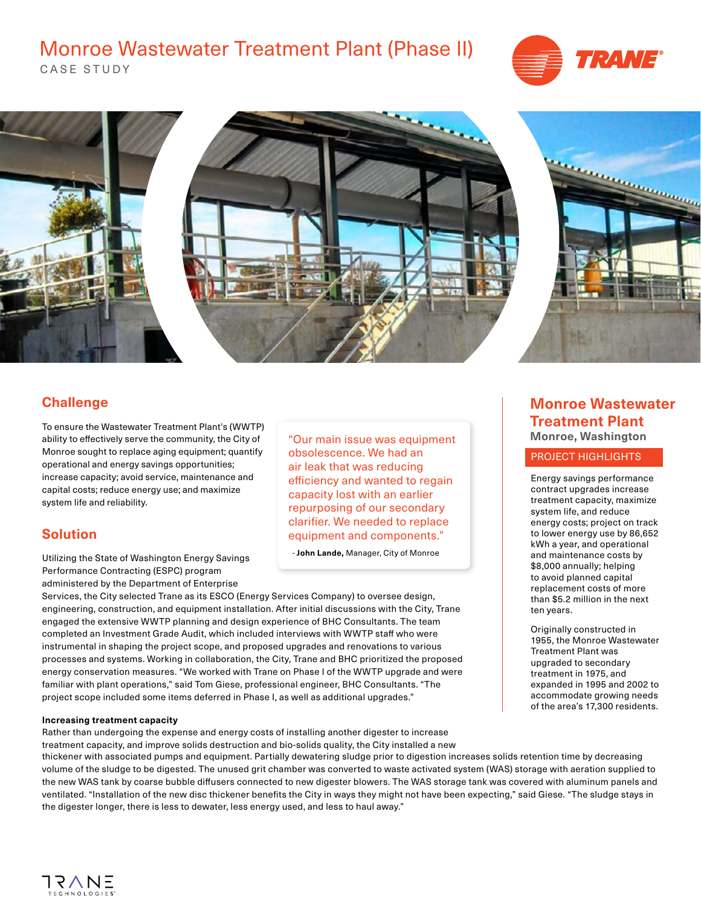## Monroe Wastewater Treatment Plant (Phase II)







## **Challenge**

To ensure the Wastewater Treatment Plant's (WWTP) ability to effectively serve the community, the City of Monroe sought to replace aging equipment; quantify operational and energy savings opportunities; increase capacity; avoid service, maintenance and capital costs; reduce energy use; and maximize system life and reliability.

## **Solution**

Utilizing the State of Washington Energy Savings Performance Contracting (ESPC) program administered by the Department of Enterprise

Services, the City selected Trane as its ESCO (Energy Services Company) to oversee design, engineering, construction, and equipment installation. After initial discussions with the City, Trane engaged the extensive WWTP planning and design experience of BHC Consultants. The team completed an Investment Grade Audit, which included interviews with WWTP staff who were instrumental in shaping the project scope, and proposed upgrades and renovations to various processes and systems. Working in collaboration, the City, Trane and BHC prioritized the proposed energy conservation measures. "We worked with Trane on Phase I of the WWTP upgrade and were familiar with plant operations," said Tom Giese, professional engineer, BHC Consultants. "The project scope included some items deferred in Phase I, as well as additional upgrades."

#### **Increasing treatment capacity**

Rather than undergoing the expense and energy costs of installing another digester to increase treatment capacity, and improve solids destruction and bio-solids quality, the City installed a new

thickener with associated pumps and equipment. Partially dewatering sludge prior to digestion increases solids retention time by decreasing volume of the sludge to be digested. The unused grit chamber was converted to waste activated system (WAS) storage with aeration supplied to the new WAS tank by coarse bubble diffusers connected to new digester blowers. The WAS storage tank was covered with aluminum panels and ventilated. "Installation of the new disc thickener benefits the City in ways they might not have been expecting," said Giese. "The sludge stays in the digester longer, there is less to dewater, less energy used, and less to haul away."

"Our main issue was equipment obsolescence. We had an air leak that was reducing efficiency and wanted to regain capacity lost with an earlier repurposing of our secondary clarifier. We needed to replace equipment and components."

- **John Lande,** Manager, City of Monroe

### **Monroe Wastewater Treatment Plant Monroe, Washington**

#### PROJECT HIGHLIGHTS

Energy savings performance contract upgrades increase treatment capacity, maximize system life, and reduce energy costs; project on track to lower energy use by 86,652 kWh a year, and operational and maintenance costs by \$8,000 annually; helping to avoid planned capital replacement costs of more than \$5.2 million in the next ten years.

Originally constructed in 1955, the Monroe Wastewater Treatment Plant was upgraded to secondary treatment in 1975, and expanded in 1995 and 2002 to accommodate growing needs of the area's 17,300 residents.

IRVNE